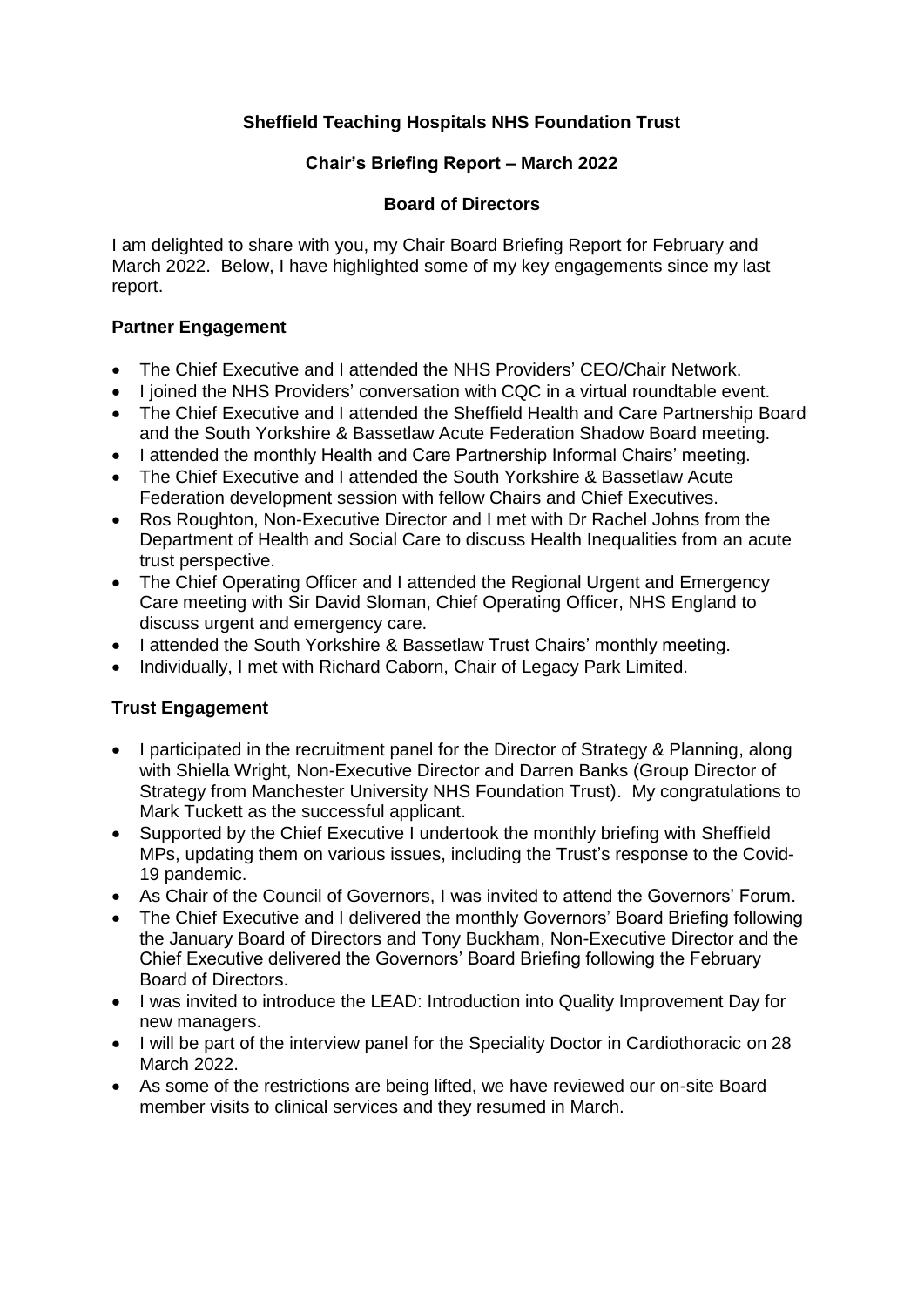# **Sheffield Teaching Hospitals NHS Foundation Trust**

## **Chair's Briefing Report – March 2022**

### **Board of Directors**

I am delighted to share with you, my Chair Board Briefing Report for February and March 2022. Below, I have highlighted some of my key engagements since my last report.

### **Partner Engagement**

- The Chief Executive and I attended the NHS Providers' CEO/Chair Network.
- I joined the NHS Providers' conversation with CQC in a virtual roundtable event.
- The Chief Executive and I attended the Sheffield Health and Care Partnership Board and the South Yorkshire & Bassetlaw Acute Federation Shadow Board meeting.
- I attended the monthly Health and Care Partnership Informal Chairs' meeting.
- The Chief Executive and I attended the South Yorkshire & Bassetlaw Acute Federation development session with fellow Chairs and Chief Executives.
- Ros Roughton, Non-Executive Director and I met with Dr Rachel Johns from the Department of Health and Social Care to discuss Health Inequalities from an acute trust perspective.
- The Chief Operating Officer and I attended the Regional Urgent and Emergency Care meeting with Sir David Sloman, Chief Operating Officer, NHS England to discuss urgent and emergency care.
- I attended the South Yorkshire & Bassetlaw Trust Chairs' monthly meeting.
- Individually, I met with Richard Caborn, Chair of Legacy Park Limited.

## **Trust Engagement**

- I participated in the recruitment panel for the Director of Strategy & Planning, along with Shiella Wright, Non-Executive Director and Darren Banks (Group Director of Strategy from Manchester University NHS Foundation Trust). My congratulations to Mark Tuckett as the successful applicant.
- Supported by the Chief Executive I undertook the monthly briefing with Sheffield MPs, updating them on various issues, including the Trust's response to the Covid-19 pandemic.
- As Chair of the Council of Governors, I was invited to attend the Governors' Forum.
- The Chief Executive and I delivered the monthly Governors' Board Briefing following the January Board of Directors and Tony Buckham, Non-Executive Director and the Chief Executive delivered the Governors' Board Briefing following the February Board of Directors.
- I was invited to introduce the LEAD: Introduction into Quality Improvement Day for new managers.
- I will be part of the interview panel for the Speciality Doctor in Cardiothoracic on 28 March 2022.
- As some of the restrictions are being lifted, we have reviewed our on-site Board member visits to clinical services and they resumed in March.